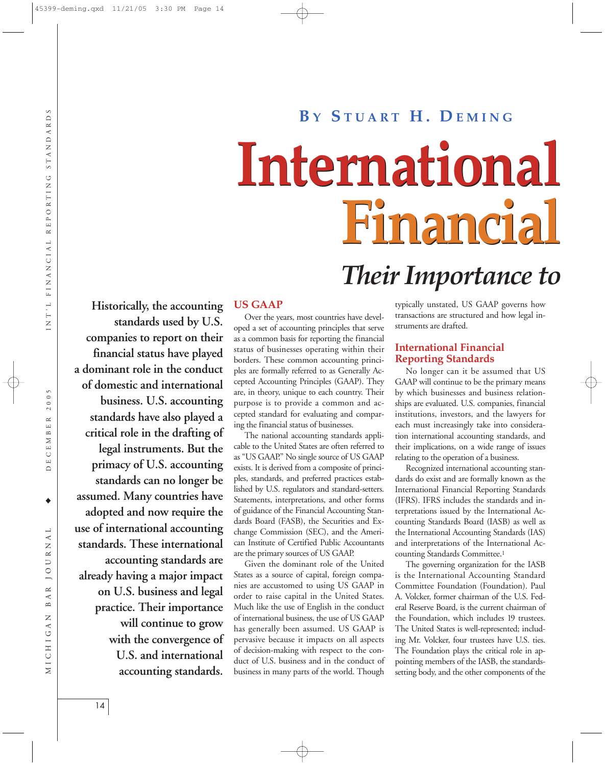# NT'L FINANCIAL REPORTING STANDARDS DECEMBER 2005 INT'L FINANCIAL REPORTING STANDARDS

 $B \Lambda$ 

MICHIGAN

#### **Historically, the accounting standards used by U.S. companies to report on their financial status have played a dominant role in the conduct of domestic and international business. U.S. accounting standards have also played a critical role in the drafting of legal instruments. But the primacy of U.S. accounting standards can no longer be assumed. Many countries have adopted and now require the use of international accounting standards. These international accounting standards are already having a major impact on U.S. business and legal practice. Their importance will continue to grow with the convergence of U.S. and international accounting standards.**

## **B Y S TUART H. D EMING**

# **International International Financial Financial**

## *Their Importance to*

#### **US GAAP**

Over the years, most countries have developed a set of accounting principles that serve as a common basis for reporting the financial status of businesses operating within their borders. These common accounting principles are formally referred to as Generally Accepted Accounting Principles (GAAP). They are, in theory, unique to each country. Their purpose is to provide a common and accepted standard for evaluating and comparing the financial status of businesses.

The national accounting standards applicable to the United States are often referred to as ''US GAAP.'' No single source of US GAAP exists. It is derived from a composite of principles, standards, and preferred practices established by U.S. regulators and standard-setters. Statements, interpretations, and other forms of guidance of the Financial Accounting Standards Board (FASB), the Securities and Exchange Commission (SEC), and the American Institute of Certified Public Accountants are the primary sources of US GAAP.

Given the dominant role of the United States as a source of capital, foreign companies are accustomed to using US GAAP in order to raise capital in the United States. Much like the use of English in the conduct of international business, the use of US GAAP has generally been assumed. US GAAP is pervasive because it impacts on all aspects of decision-making with respect to the conduct of U.S. business and in the conduct of business in many parts of the world. Though

typically unstated, US GAAP governs how transactions are structured and how legal instruments are drafted.

#### **International Financial Reporting Standards**

No longer can it be assumed that US GAAP will continue to be the primary means by which businesses and business relationships are evaluated. U.S. companies, financial institutions, investors, and the lawyers for each must increasingly take into consideration international accounting standards, and their implications, on a wide range of issues relating to the operation of a business.

Recognized international accounting standards do exist and are formally known as the International Financial Reporting Standards (IFRS). IFRS includes the standards and interpretations issued by the International Accounting Standards Board (IASB) as well as the International Accounting Standards (IAS) and interpretations of the International Accounting Standards Committee.1

The governing organization for the IASB is the International Accounting Standard Committee Foundation (Foundation). Paul A. Volcker, former chairman of the U.S. Federal Reserve Board, is the current chairman of the Foundation, which includes 19 trustees. The United States is well-represented; including Mr. Volcker, four trustees have U.S. ties. The Foundation plays the critical role in appointing members of the IASB, the standardssetting body, and the other components of the

14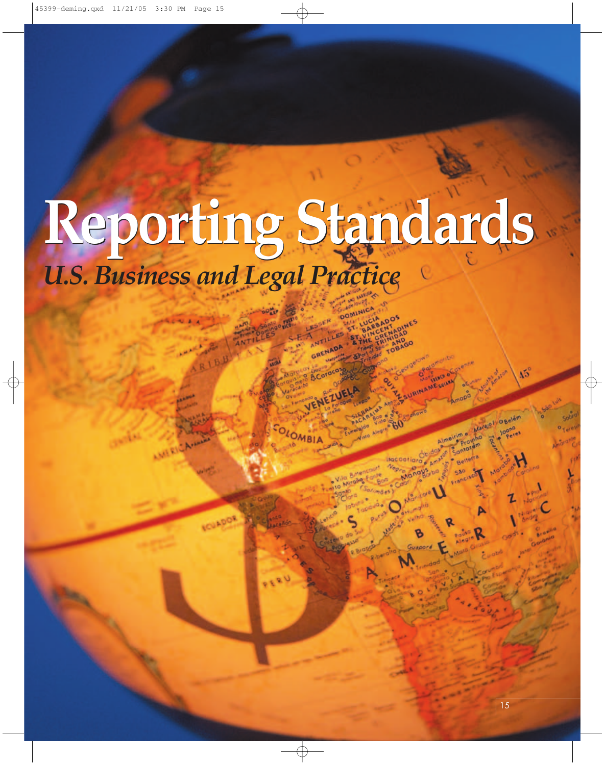## *U.S. Business and Legal Practice* **Reporting Standards Reporting Standards**

OLOMBIA

BCorocomputer Computer Computer Computer Computer Computer Computer Computer Computer Computer Computer Computer Computer Computer Computer Computer Computer Computer Computer Computer Computer Computer Computer Computer C

Elements Area & BOOSPORT

Antara Barbara

Incontigra e Amate

Manice

**CASH CALLAGE OF** 

Almeirim e Prounho Santaram

 $\Lambda^{\rm S}$ 

Marajel Obelém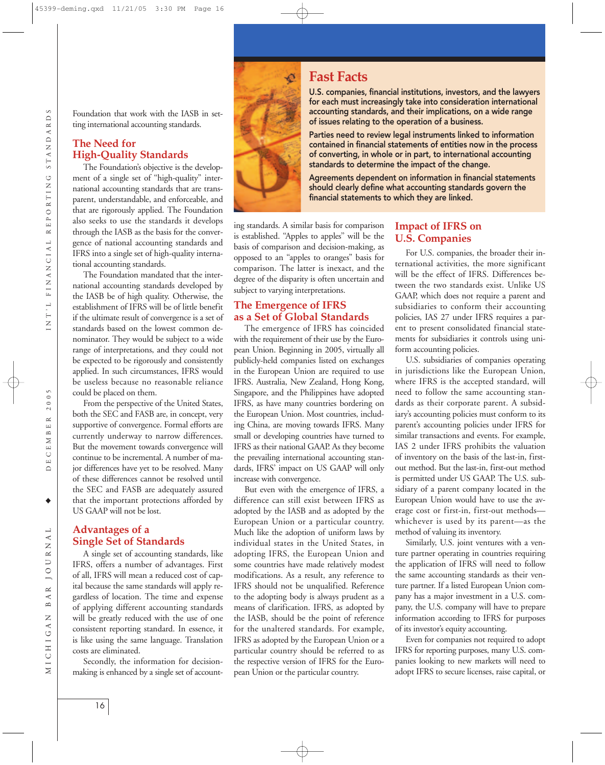ECEMBER 2005  $\Box$ ♦

 $N$  A  $L$ MICHIGAN BAR JOURNAL **JOUR**  $\simeq$  $\blacktriangle$  $\mathbf{\underline{\upomega}}$  $\overline{z}$ MICHIGAT

Foundation that work with the IASB in setting international accounting standards.

#### **The Need for High-Quality Standards**

The Foundation's objective is the development of a single set of ''high-quality'' international accounting standards that are transparent, understandable, and enforceable, and that are rigorously applied. The Foundation also seeks to use the standards it develops through the IASB as the basis for the convergence of national accounting standards and IFRS into a single set of high-quality international accounting standards.

The Foundation mandated that the international accounting standards developed by the IASB be of high quality. Otherwise, the establishment of IFRS will be of little benefit if the ultimate result of convergence is a set of standards based on the lowest common denominator. They would be subject to a wide range of interpretations, and they could not be expected to be rigorously and consistently applied. In such circumstances, IFRS would be useless because no reasonable reliance could be placed on them.

From the perspective of the United States, both the SEC and FASB are, in concept, very supportive of convergence. Formal efforts are currently underway to narrow differences. But the movement towards convergence will continue to be incremental. A number of major differences have yet to be resolved. Many of these differences cannot be resolved until the SEC and FASB are adequately assured that the important protections afforded by US GAAP will not be lost.

#### **Advantages of a Single Set of Standards**

A single set of accounting standards, like IFRS, offers a number of advantages. First of all, IFRS will mean a reduced cost of capital because the same standards will apply regardless of location. The time and expense of applying different accounting standards will be greatly reduced with the use of one consistent reporting standard. In essence, it is like using the same language. Translation costs are eliminated.

Secondly, the information for decisionmaking is enhanced by a single set of account-



U.S. companies, financial institutions, investors, and the lawyers for each must increasingly take into consideration international accounting standards, and their implications, on a wide range of issues relating to the operation of a business.

Parties need to review legal instruments linked to information contained in financial statements of entities now in the process of converting, in whole or in part, to international accounting standards to determine the impact of the change.

Agreements dependent on information in financial statements should clearly define what accounting standards govern the financial statements to which they are linked.

ing standards. A similar basis for comparison is established. ''Apples to apples'' will be the basis of comparison and decision-making, as opposed to an ''apples to oranges'' basis for comparison. The latter is inexact, and the degree of the disparity is often uncertain and subject to varying interpretations.

#### **The Emergence of IFRS as a Set of Global Standards**

The emergence of IFRS has coincided with the requirement of their use by the European Union. Beginning in 2005, virtually all publicly-held companies listed on exchanges in the European Union are required to use IFRS. Australia, New Zealand, Hong Kong, Singapore, and the Philippines have adopted IFRS, as have many countries bordering on the European Union. Most countries, including China, are moving towards IFRS. Many small or developing countries have turned to IFRS as their national GAAP. As they become the prevailing international accounting standards, IFRS' impact on US GAAP will only increase with convergence.

But even with the emergence of IFRS, a difference can still exist between IFRS as adopted by the IASB and as adopted by the European Union or a particular country. Much like the adoption of uniform laws by individual states in the United States, in adopting IFRS, the European Union and some countries have made relatively modest modifications. As a result, any reference to IFRS should not be unqualified. Reference to the adopting body is always prudent as a means of clarification. IFRS, as adopted by the IASB, should be the point of reference for the unaltered standards. For example, IFRS as adopted by the European Union or a particular country should be referred to as the respective version of IFRS for the European Union or the particular country.

#### **Impact of IFRS on U.S. Companies**

For U.S. companies, the broader their international activities, the more significant will be the effect of IFRS. Differences between the two standards exist. Unlike US GAAP, which does not require a parent and subsidiaries to conform their accounting policies, IAS 27 under IFRS requires a parent to present consolidated financial statements for subsidiaries it controls using uniform accounting policies.

U.S. subsidiaries of companies operating in jurisdictions like the European Union, where IFRS is the accepted standard, will need to follow the same accounting standards as their corporate parent. A subsidiary's accounting policies must conform to its parent's accounting policies under IFRS for similar transactions and events. For example, IAS 2 under IFRS prohibits the valuation of inventory on the basis of the last-in, firstout method. But the last-in, first-out method is permitted under US GAAP. The U.S. subsidiary of a parent company located in the European Union would have to use the average cost or first-in, first-out methods whichever is used by its parent—as the method of valuing its inventory.

Similarly, U.S. joint ventures with a venture partner operating in countries requiring the application of IFRS will need to follow the same accounting standards as their venture partner. If a listed European Union company has a major investment in a U.S. company, the U.S. company will have to prepare information according to IFRS for purposes of its investor's equity accounting.

Even for companies not required to adopt IFRS for reporting purposes, many U.S. companies looking to new markets will need to adopt IFRS to secure licenses, raise capital, or